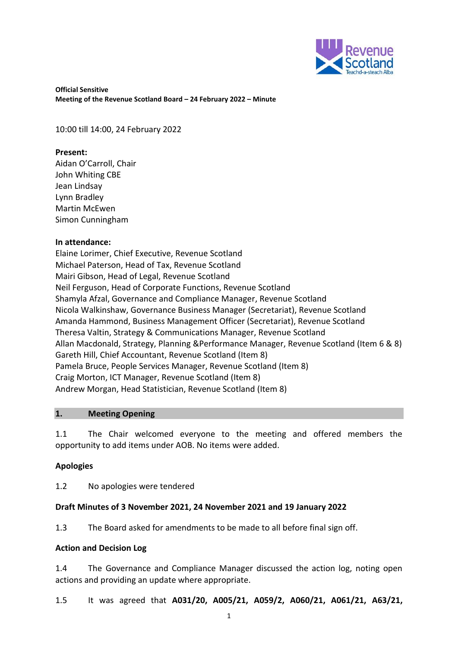

10:00 till 14:00, 24 February 2022

#### **Present:**

Aidan O'Carroll, Chair John Whiting CBE Jean Lindsay Lynn Bradley Martin McEwen Simon Cunningham

#### **In attendance:**

Elaine Lorimer, Chief Executive, Revenue Scotland Michael Paterson, Head of Tax, Revenue Scotland Mairi Gibson, Head of Legal, Revenue Scotland Neil Ferguson, Head of Corporate Functions, Revenue Scotland Shamyla Afzal, Governance and Compliance Manager, Revenue Scotland Nicola Walkinshaw, Governance Business Manager (Secretariat), Revenue Scotland Amanda Hammond, Business Management Officer (Secretariat), Revenue Scotland Theresa Valtin, Strategy & Communications Manager, Revenue Scotland Allan Macdonald, Strategy, Planning &Performance Manager, Revenue Scotland (Item 6 & 8) Gareth Hill, Chief Accountant, Revenue Scotland (Item 8) Pamela Bruce, People Services Manager, Revenue Scotland (Item 8) Craig Morton, ICT Manager, Revenue Scotland (Item 8) Andrew Morgan, Head Statistician, Revenue Scotland (Item 8)

## **1. Meeting Opening**

1.1 The Chair welcomed everyone to the meeting and offered members the opportunity to add items under AOB. No items were added.

## **Apologies**

1.2 No apologies were tendered

## **Draft Minutes of 3 November 2021, 24 November 2021 and 19 January 2022**

1.3 The Board asked for amendments to be made to all before final sign off.

#### **Action and Decision Log**

1.4 The Governance and Compliance Manager discussed the action log, noting open actions and providing an update where appropriate.

1.5 It was agreed that **A031/20, A005/21, A059/2, A060/21, A061/21, A63/21,**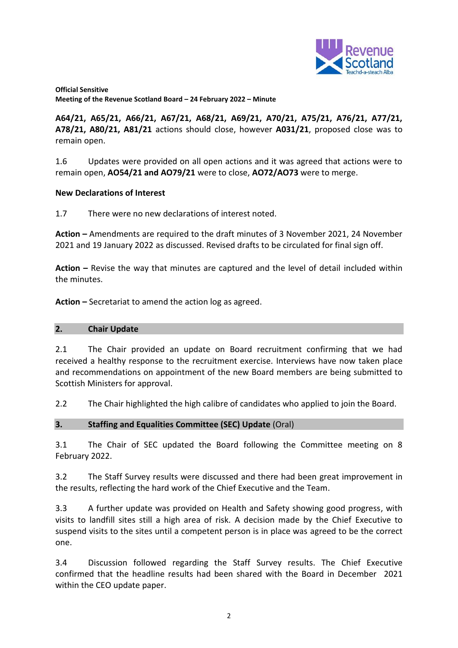

**A64/21, A65/21, A66/21, A67/21, A68/21, A69/21, A70/21, A75/21, A76/21, A77/21, A78/21, A80/21, A81/21** actions should close, however **A031/21**, proposed close was to remain open.

1.6 Updates were provided on all open actions and it was agreed that actions were to remain open, **AO54/21 and AO79/21** were to close, **AO72/AO73** were to merge.

## **New Declarations of Interest**

1.7 There were no new declarations of interest noted.

**Action –** Amendments are required to the draft minutes of 3 November 2021, 24 November 2021 and 19 January 2022 as discussed. Revised drafts to be circulated for final sign off.

**Action –** Revise the way that minutes are captured and the level of detail included within the minutes.

**Action –** Secretariat to amend the action log as agreed.

## **2. Chair Update**

2.1 The Chair provided an update on Board recruitment confirming that we had received a healthy response to the recruitment exercise. Interviews have now taken place and recommendations on appointment of the new Board members are being submitted to Scottish Ministers for approval.

2.2 The Chair highlighted the high calibre of candidates who applied to join the Board.

## **3. Staffing and Equalities Committee (SEC) Update** (Oral)

3.1 The Chair of SEC updated the Board following the Committee meeting on 8 February 2022.

3.2 The Staff Survey results were discussed and there had been great improvement in the results, reflecting the hard work of the Chief Executive and the Team.

3.3 A further update was provided on Health and Safety showing good progress, with visits to landfill sites still a high area of risk. A decision made by the Chief Executive to suspend visits to the sites until a competent person is in place was agreed to be the correct one.

3.4 Discussion followed regarding the Staff Survey results. The Chief Executive confirmed that the headline results had been shared with the Board in December 2021 within the CEO update paper.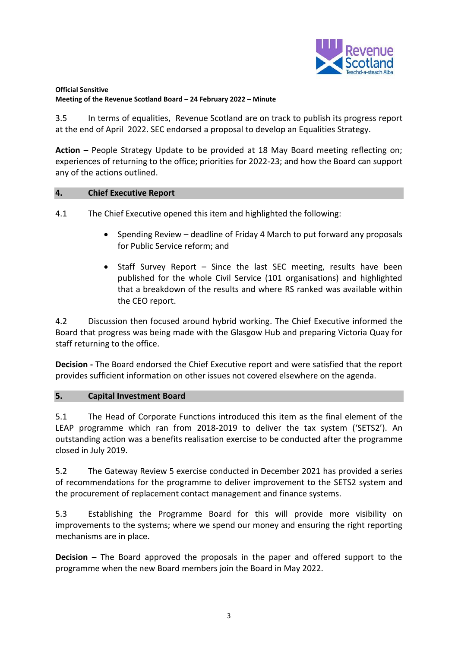

3.5 In terms of equalities, Revenue Scotland are on track to publish its progress report at the end of April 2022. SEC endorsed a proposal to develop an Equalities Strategy.

**Action –** People Strategy Update to be provided at 18 May Board meeting reflecting on; experiences of returning to the office; priorities for 2022-23; and how the Board can support any of the actions outlined.

#### **4. Chief Executive Report**

4.1 The Chief Executive opened this item and highlighted the following:

- Spending Review deadline of Friday 4 March to put forward any proposals for Public Service reform; and
- Staff Survey Report Since the last SEC meeting, results have been published for the whole Civil Service (101 organisations) and highlighted that a breakdown of the results and where RS ranked was available within the CEO report.

4.2 Discussion then focused around hybrid working. The Chief Executive informed the Board that progress was being made with the Glasgow Hub and preparing Victoria Quay for staff returning to the office.

**Decision -** The Board endorsed the Chief Executive report and were satisfied that the report provides sufficient information on other issues not covered elsewhere on the agenda.

## **5. Capital Investment Board**

5.1 The Head of Corporate Functions introduced this item as the final element of the LEAP programme which ran from 2018-2019 to deliver the tax system ('SETS2'). An outstanding action was a benefits realisation exercise to be conducted after the programme closed in July 2019.

5.2 The Gateway Review 5 exercise conducted in December 2021 has provided a series of recommendations for the programme to deliver improvement to the SETS2 system and the procurement of replacement contact management and finance systems.

5.3 Establishing the Programme Board for this will provide more visibility on improvements to the systems; where we spend our money and ensuring the right reporting mechanisms are in place.

**Decision –** The Board approved the proposals in the paper and offered support to the programme when the new Board members join the Board in May 2022.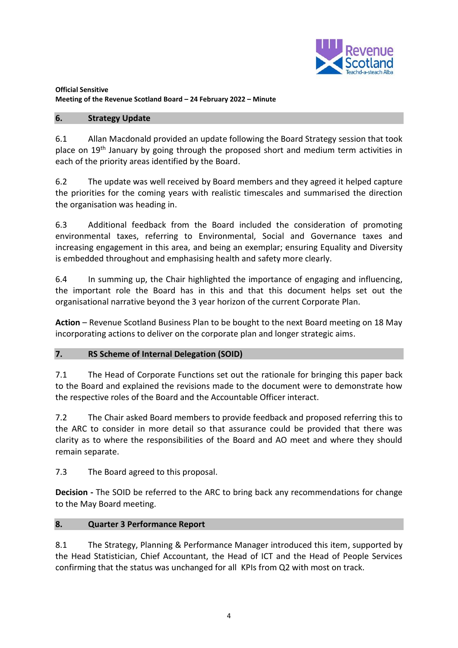

## **6. Strategy Update**

6.1 Allan Macdonald provided an update following the Board Strategy session that took place on 19<sup>th</sup> January by going through the proposed short and medium term activities in each of the priority areas identified by the Board.

6.2 The update was well received by Board members and they agreed it helped capture the priorities for the coming years with realistic timescales and summarised the direction the organisation was heading in.

6.3 Additional feedback from the Board included the consideration of promoting environmental taxes, referring to Environmental, Social and Governance taxes and increasing engagement in this area, and being an exemplar; ensuring Equality and Diversity is embedded throughout and emphasising health and safety more clearly.

6.4 In summing up, the Chair highlighted the importance of engaging and influencing, the important role the Board has in this and that this document helps set out the organisational narrative beyond the 3 year horizon of the current Corporate Plan.

**Action** – Revenue Scotland Business Plan to be bought to the next Board meeting on 18 May incorporating actions to deliver on the corporate plan and longer strategic aims.

## **7. RS Scheme of Internal Delegation (SOID)**

7.1 The Head of Corporate Functions set out the rationale for bringing this paper back to the Board and explained the revisions made to the document were to demonstrate how the respective roles of the Board and the Accountable Officer interact.

7.2 The Chair asked Board members to provide feedback and proposed referring this to the ARC to consider in more detail so that assurance could be provided that there was clarity as to where the responsibilities of the Board and AO meet and where they should remain separate.

7.3 The Board agreed to this proposal.

**Decision -** The SOID be referred to the ARC to bring back any recommendations for change to the May Board meeting.

# **8. Quarter 3 Performance Report**

8.1 The Strategy, Planning & Performance Manager introduced this item, supported by the Head Statistician, Chief Accountant, the Head of ICT and the Head of People Services confirming that the status was unchanged for all KPIs from Q2 with most on track.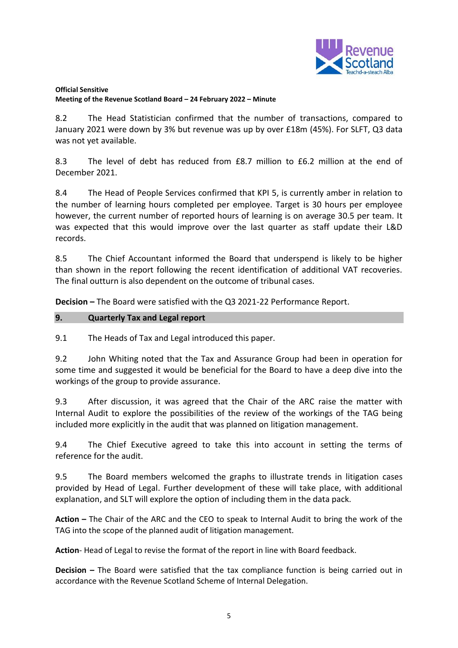

8.2 The Head Statistician confirmed that the number of transactions, compared to January 2021 were down by 3% but revenue was up by over £18m (45%). For SLFT, Q3 data was not yet available.

8.3 The level of debt has reduced from £8.7 million to £6.2 million at the end of December 2021.

8.4 The Head of People Services confirmed that KPI 5, is currently amber in relation to the number of learning hours completed per employee. Target is 30 hours per employee however, the current number of reported hours of learning is on average 30.5 per team. It was expected that this would improve over the last quarter as staff update their L&D records.

8.5 The Chief Accountant informed the Board that underspend is likely to be higher than shown in the report following the recent identification of additional VAT recoveries. The final outturn is also dependent on the outcome of tribunal cases.

**Decision –** The Board were satisfied with the Q3 2021-22 Performance Report.

## **9. Quarterly Tax and Legal report**

9.1 The Heads of Tax and Legal introduced this paper.

9.2 John Whiting noted that the Tax and Assurance Group had been in operation for some time and suggested it would be beneficial for the Board to have a deep dive into the workings of the group to provide assurance.

9.3 After discussion, it was agreed that the Chair of the ARC raise the matter with Internal Audit to explore the possibilities of the review of the workings of the TAG being included more explicitly in the audit that was planned on litigation management.

9.4 The Chief Executive agreed to take this into account in setting the terms of reference for the audit.

9.5 The Board members welcomed the graphs to illustrate trends in litigation cases provided by Head of Legal. Further development of these will take place, with additional explanation, and SLT will explore the option of including them in the data pack.

**Action –** The Chair of the ARC and the CEO to speak to Internal Audit to bring the work of the TAG into the scope of the planned audit of litigation management.

**Action**- Head of Legal to revise the format of the report in line with Board feedback.

**Decision –** The Board were satisfied that the tax compliance function is being carried out in accordance with the Revenue Scotland Scheme of Internal Delegation.